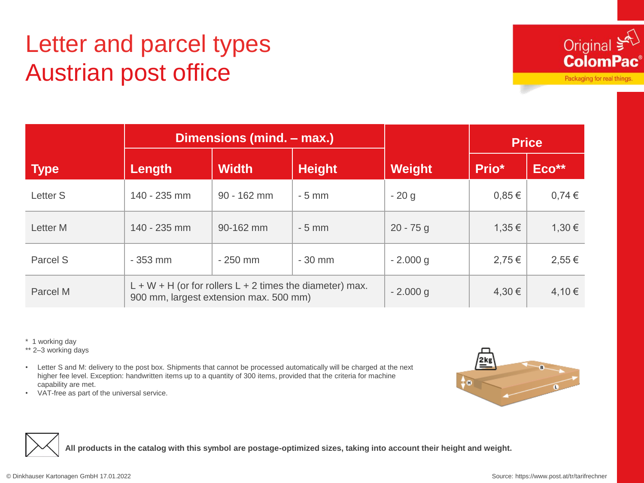## Letter and parcel types Austrian post office



Packaging for real things.

|             | Dimensions (mind. – max.)                                                                              |               |               |               | <b>Price</b> |            |
|-------------|--------------------------------------------------------------------------------------------------------|---------------|---------------|---------------|--------------|------------|
| <b>Type</b> | Length                                                                                                 | <b>Width</b>  | <b>Height</b> | <b>Weight</b> | Prio*        | Eco**      |
| Letter S    | 140 - 235 mm                                                                                           | $90 - 162$ mm | $-5$ mm       | $-20g$        | $0.85 \in$   | $0,74 \in$ |
| Letter M    | 140 - 235 mm                                                                                           | 90-162 mm     | $-5$ mm       | $20 - 75$ g   | $1,35 \in$   | 1,30 €     |
| Parcel S    | $-353$ mm                                                                                              | $-250$ mm     | $-30$ mm      | $-2.000$ g    | 2,75€        | $2,55 \in$ |
| Parcel M    | $L + W + H$ (or for rollers $L + 2$ times the diameter) max.<br>900 mm, largest extension max. 500 mm) |               |               | $-2.000$ g    | 4,30€        | 4,10€      |

\* 1 working day

\*\* 2–3 working days

• Letter S and M: delivery to the post box. Shipments that cannot be processed automatically will be charged at the next higher fee level. Exception: handwritten items up to a quantity of 300 items, provided that the criteria for machine capability are met.



• VAT-free as part of the universal service.



**All products in the catalog with this symbol are postage-optimized sizes, taking into account their height and weight.**